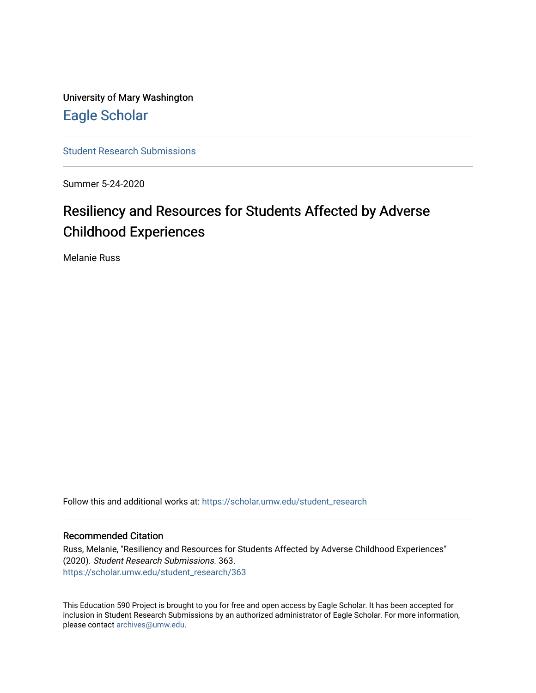University of Mary Washington [Eagle Scholar](https://scholar.umw.edu/) 

[Student Research Submissions](https://scholar.umw.edu/student_research) 

Summer 5-24-2020

# Resiliency and Resources for Students Affected by Adverse Childhood Experiences

Melanie Russ

Follow this and additional works at: [https://scholar.umw.edu/student\\_research](https://scholar.umw.edu/student_research?utm_source=scholar.umw.edu%2Fstudent_research%2F363&utm_medium=PDF&utm_campaign=PDFCoverPages)

#### Recommended Citation

Russ, Melanie, "Resiliency and Resources for Students Affected by Adverse Childhood Experiences" (2020). Student Research Submissions. 363. [https://scholar.umw.edu/student\\_research/363](https://scholar.umw.edu/student_research/363?utm_source=scholar.umw.edu%2Fstudent_research%2F363&utm_medium=PDF&utm_campaign=PDFCoverPages)

This Education 590 Project is brought to you for free and open access by Eagle Scholar. It has been accepted for inclusion in Student Research Submissions by an authorized administrator of Eagle Scholar. For more information, please contact [archives@umw.edu.](mailto:archives@umw.edu)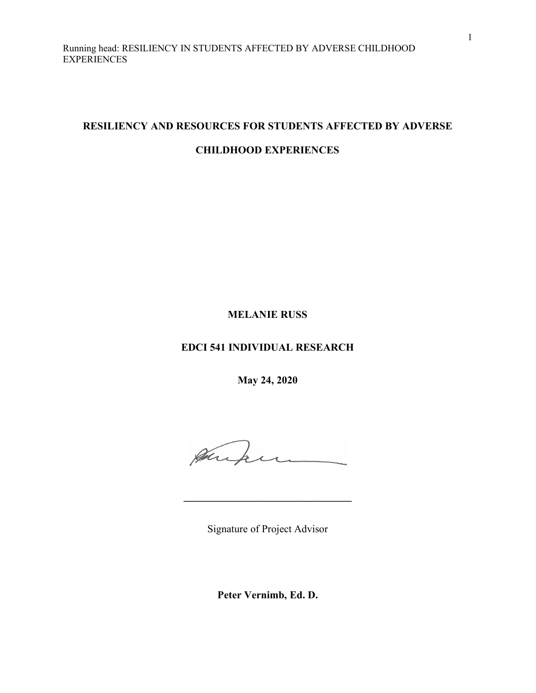# **RESILIENCY AND RESOURCES FOR STUDENTS AFFECTED BY ADVERSE**

# **CHILDHOOD EXPERIENCES**

# **MELANIE RUSS**

# **EDCI 541 INDIVIDUAL RESEARCH**

**May 24, 2020**

Aufun

Signature of Project Advisor

**\_\_\_\_\_\_\_\_\_\_\_\_\_\_\_\_\_\_\_\_\_\_\_\_\_\_\_\_\_\_\_\_**

**Peter Vernimb, Ed. D.**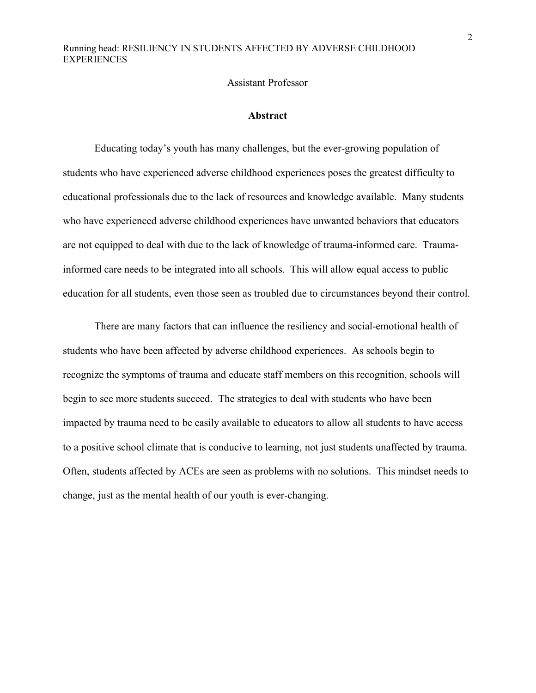#### Assistant Professor

#### **Abstract**

Educating today's youth has many challenges, but the ever-growing population of students who have experienced adverse childhood experiences poses the greatest difficulty to educational professionals due to the lack of resources and knowledge available. Many students who have experienced adverse childhood experiences have unwanted behaviors that educators are not equipped to deal with due to the lack of knowledge of trauma-informed care. Traumainformed care needs to be integrated into all schools. This will allow equal access to public education for all students, even those seen as troubled due to circumstances beyond their control.

There are many factors that can influence the resiliency and social-emotional health of students who have been affected by adverse childhood experiences. As schools begin to recognize the symptoms of trauma and educate staff members on this recognition, schools will begin to see more students succeed. The strategies to deal with students who have been impacted by trauma need to be easily available to educators to allow all students to have access to a positive school climate that is conducive to learning, not just students unaffected by trauma. Often, students affected by ACEs are seen as problems with no solutions. This mindset needs to change, just as the mental health of our youth is ever-changing.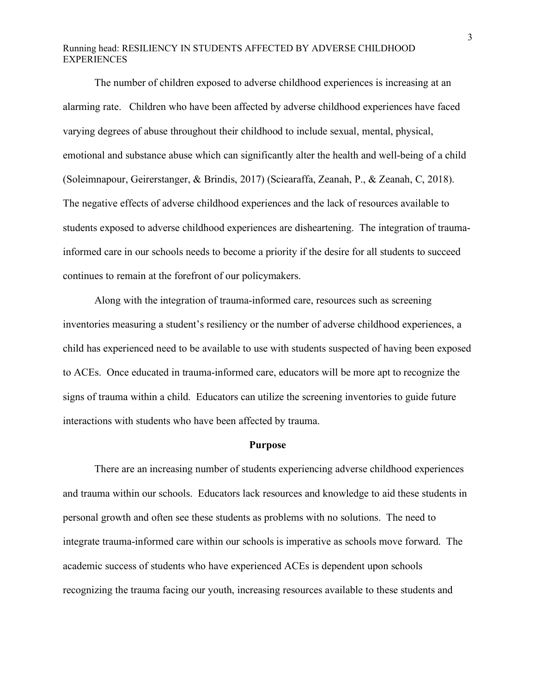The number of children exposed to adverse childhood experiences is increasing at an alarming rate. Children who have been affected by adverse childhood experiences have faced varying degrees of abuse throughout their childhood to include sexual, mental, physical, emotional and substance abuse which can significantly alter the health and well-being of a child (Soleimnapour, Geirerstanger, & Brindis, 2017) (Sciearaffa, Zeanah, P., & Zeanah, C, 2018). The negative effects of adverse childhood experiences and the lack of resources available to students exposed to adverse childhood experiences are disheartening. The integration of traumainformed care in our schools needs to become a priority if the desire for all students to succeed continues to remain at the forefront of our policymakers.

Along with the integration of trauma-informed care, resources such as screening inventories measuring a student's resiliency or the number of adverse childhood experiences, a child has experienced need to be available to use with students suspected of having been exposed to ACEs. Once educated in trauma-informed care, educators will be more apt to recognize the signs of trauma within a child. Educators can utilize the screening inventories to guide future interactions with students who have been affected by trauma.

#### **Purpose**

There are an increasing number of students experiencing adverse childhood experiences and trauma within our schools. Educators lack resources and knowledge to aid these students in personal growth and often see these students as problems with no solutions. The need to integrate trauma-informed care within our schools is imperative as schools move forward. The academic success of students who have experienced ACEs is dependent upon schools recognizing the trauma facing our youth, increasing resources available to these students and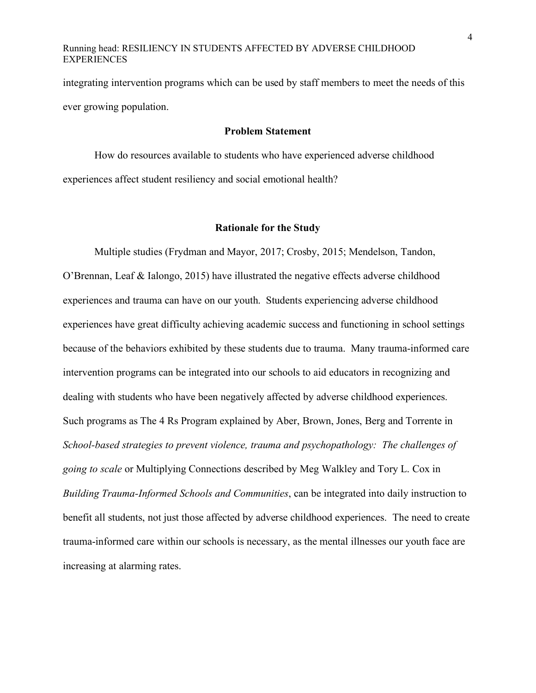integrating intervention programs which can be used by staff members to meet the needs of this ever growing population.

#### **Problem Statement**

How do resources available to students who have experienced adverse childhood experiences affect student resiliency and social emotional health?

#### **Rationale for the Study**

Multiple studies (Frydman and Mayor, 2017; Crosby, 2015; Mendelson, Tandon, O'Brennan, Leaf & Ialongo, 2015) have illustrated the negative effects adverse childhood experiences and trauma can have on our youth. Students experiencing adverse childhood experiences have great difficulty achieving academic success and functioning in school settings because of the behaviors exhibited by these students due to trauma. Many trauma-informed care intervention programs can be integrated into our schools to aid educators in recognizing and dealing with students who have been negatively affected by adverse childhood experiences. Such programs as The 4 Rs Program explained by Aber, Brown, Jones, Berg and Torrente in *School-based strategies to prevent violence, trauma and psychopathology: The challenges of going to scale* or Multiplying Connections described by Meg Walkley and Tory L. Cox in *Building Trauma-Informed Schools and Communities*, can be integrated into daily instruction to benefit all students, not just those affected by adverse childhood experiences. The need to create trauma-informed care within our schools is necessary, as the mental illnesses our youth face are increasing at alarming rates.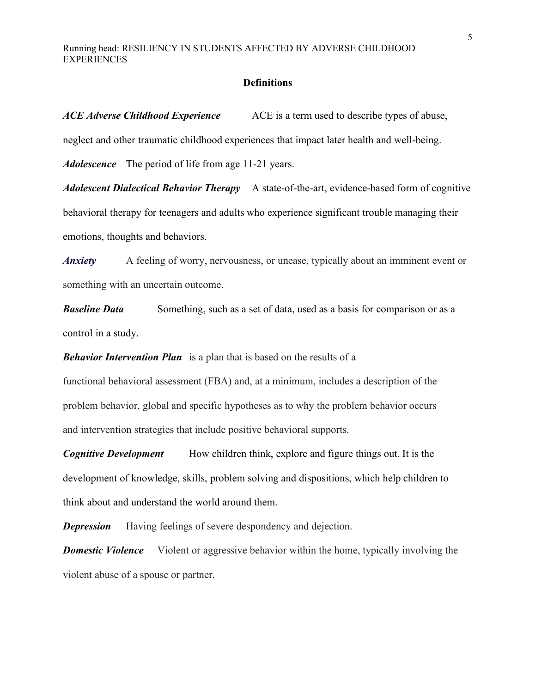#### **Definitions**

*ACE Adverse Childhood Experience* ACE is a term used to describe types of abuse, neglect and other traumatic childhood experiences that impact later health and well-being. *Adolescence* The period of life from age 11-21 years. *Adolescent Dialectical Behavior Therapy* A state-of-the-art, evidence-based form of cognitive behavioral therapy for teenagers and adults who experience significant trouble managing their emotions, thoughts and behaviors.

*Anxiety* A feeling of worry, nervousness, or unease, typically about an imminent event or something with an uncertain outcome.

*Baseline Data* Something, such as a set of data, used as a basis for comparison or as a control in a study.

*Behavior Intervention Plan* is a plan that is based on the results of a

functional behavioral assessment (FBA) and, at a minimum, includes a description of the problem behavior, global and specific hypotheses as to why the problem behavior occurs and intervention strategies that include positive behavioral supports.

*Cognitive Development* How children think, explore and figure things out. It is the development of knowledge, skills, problem solving and dispositions, which help children to think about and understand the world around them.

**Depression** Having feelings of severe despondency and dejection.

*Domestic Violence* Violent or aggressive behavior within the home, typically involving the violent abuse of a spouse or partner.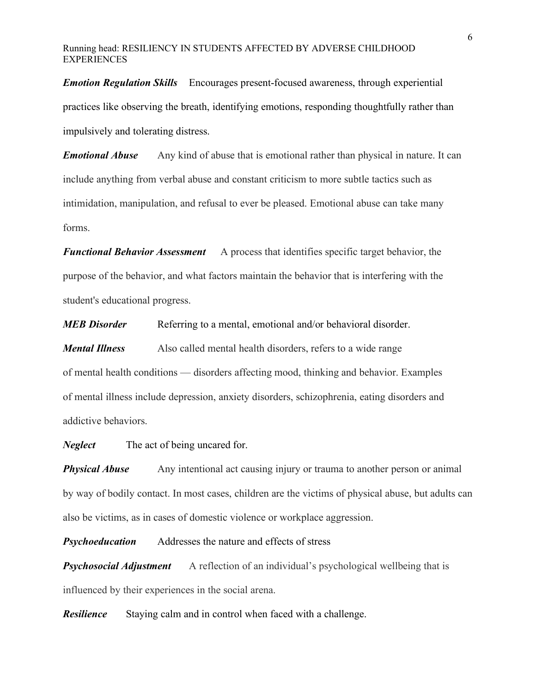*Emotion Regulation Skills* Encourages present-focused awareness, through experiential practices like observing the breath, identifying emotions, responding thoughtfully rather than impulsively and tolerating distress.

*Emotional Abuse* Any kind of abuse that is emotional rather than physical in nature. It can include anything from verbal abuse and constant criticism to more subtle tactics such as intimidation, manipulation, and refusal to ever be pleased. Emotional abuse can take many forms.

*Functional Behavior Assessment* A process that identifies specific target behavior, the purpose of the behavior, and what factors maintain the behavior that is interfering with the student's educational progress.

*MEB Disorder* Referring to a mental, emotional and/or behavioral disorder.

*Mental Illness* Also called mental health disorders, refers to a wide range of mental health conditions — disorders affecting mood, thinking and behavior. Examples of mental illness include depression, anxiety disorders, schizophrenia, eating disorders and addictive behaviors.

*Neglect* The act of being uncared for.

**Physical Abuse** Any intentional act causing injury or trauma to another person or animal by way of bodily contact. In most cases, children are the victims of physical abuse, but adults can also be victims, as in cases of domestic violence or workplace aggression.

*Psychoeducation* Addresses the nature and effects of stress

**Psychosocial Adjustment** A reflection of an individual's psychological wellbeing that is influenced by their experiences in the social arena.

*Resilience* Staying calm and in control when faced with a challenge.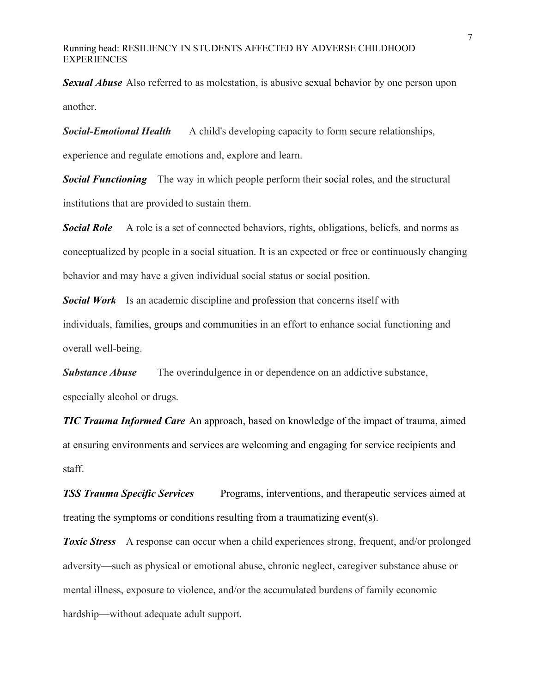*Sexual Abuse* Also referred to as molestation, is abusive sexual behavior by one person upon another.

**Social-Emotional Health** A child's developing capacity to form secure relationships,

experience and regulate emotions and, explore and learn.

**Social Functioning** The way in which people perform their social roles, and the structural institutions that are provided to sustain them.

**Social Role** A role is a set of connected behaviors, rights, obligations, beliefs, and norms as conceptualized by people in a social situation. It is an expected or free or continuously changing behavior and may have a given individual social status or social position.

**Social Work** Is an academic discipline and profession that concerns itself with individuals, families, groups and communities in an effort to enhance social functioning and overall well-being.

**Substance Abuse** The overindulgence in or dependence on an addictive substance, especially alcohol or drugs.

*TIC Trauma Informed Care* An approach, based on knowledge of the impact of trauma, aimed at ensuring environments and services are welcoming and engaging for service recipients and staff.

**TSS Trauma Specific Services** Programs, interventions, and therapeutic services aimed at treating the symptoms or conditions resulting from a traumatizing event(s).

**Toxic Stress** A response can occur when a child experiences strong, frequent, and/or prolonged adversity—such as physical or emotional abuse, chronic neglect, caregiver substance abuse or mental illness, exposure to violence, and/or the accumulated burdens of family economic hardship—without adequate adult support.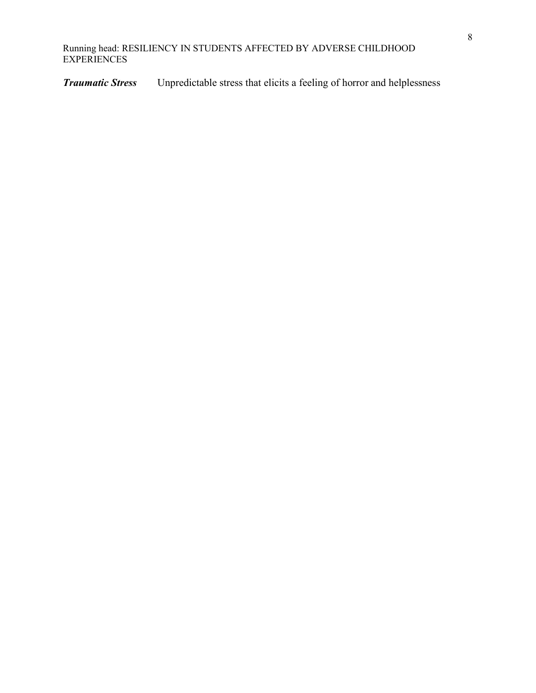*Traumatic Stress* Unpredictable stress that elicits a feeling of horror and helplessness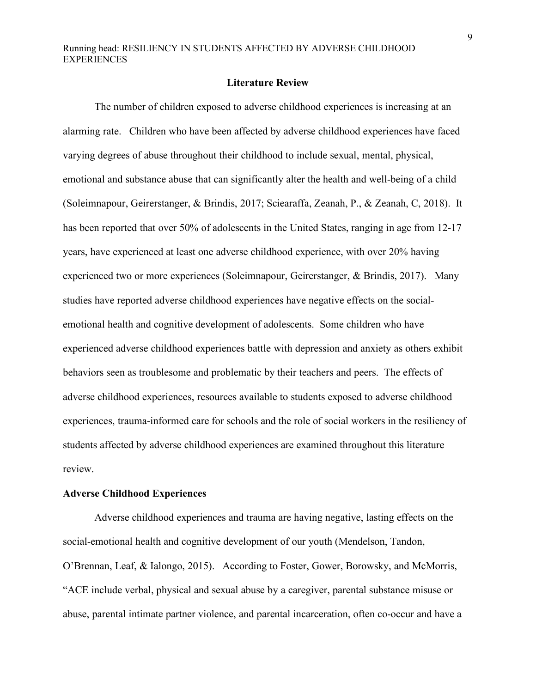#### **Literature Review**

The number of children exposed to adverse childhood experiences is increasing at an alarming rate. Children who have been affected by adverse childhood experiences have faced varying degrees of abuse throughout their childhood to include sexual, mental, physical, emotional and substance abuse that can significantly alter the health and well-being of a child (Soleimnapour, Geirerstanger, & Brindis, 2017; Sciearaffa, Zeanah, P., & Zeanah, C, 2018). It has been reported that over 50% of adolescents in the United States, ranging in age from 12-17 years, have experienced at least one adverse childhood experience, with over 20% having experienced two or more experiences (Soleimnapour, Geirerstanger, & Brindis, 2017). Many studies have reported adverse childhood experiences have negative effects on the socialemotional health and cognitive development of adolescents. Some children who have experienced adverse childhood experiences battle with depression and anxiety as others exhibit behaviors seen as troublesome and problematic by their teachers and peers. The effects of adverse childhood experiences, resources available to students exposed to adverse childhood experiences, trauma-informed care for schools and the role of social workers in the resiliency of students affected by adverse childhood experiences are examined throughout this literature review.

#### **Adverse Childhood Experiences**

Adverse childhood experiences and trauma are having negative, lasting effects on the social-emotional health and cognitive development of our youth (Mendelson, Tandon, O'Brennan, Leaf, & Ialongo, 2015). According to Foster, Gower, Borowsky, and McMorris, "ACE include verbal, physical and sexual abuse by a caregiver, parental substance misuse or abuse, parental intimate partner violence, and parental incarceration, often co-occur and have a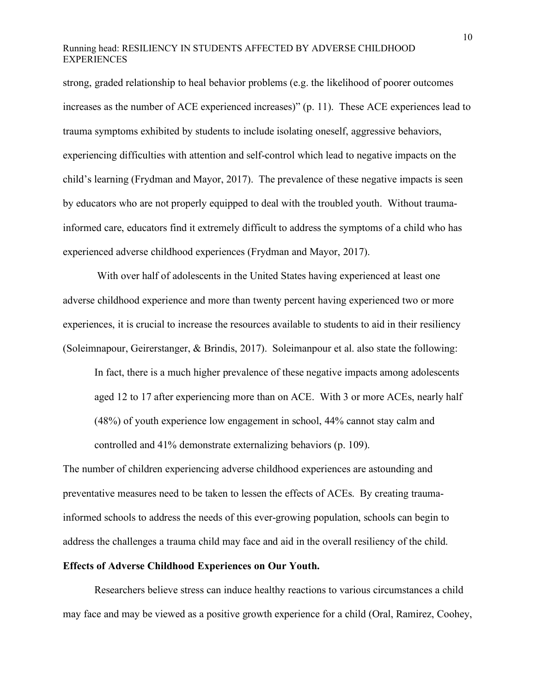strong, graded relationship to heal behavior problems (e.g. the likelihood of poorer outcomes increases as the number of ACE experienced increases)" (p. 11). These ACE experiences lead to trauma symptoms exhibited by students to include isolating oneself, aggressive behaviors, experiencing difficulties with attention and self-control which lead to negative impacts on the child's learning (Frydman and Mayor, 2017). The prevalence of these negative impacts is seen by educators who are not properly equipped to deal with the troubled youth. Without traumainformed care, educators find it extremely difficult to address the symptoms of a child who has experienced adverse childhood experiences (Frydman and Mayor, 2017).

With over half of adolescents in the United States having experienced at least one adverse childhood experience and more than twenty percent having experienced two or more experiences, it is crucial to increase the resources available to students to aid in their resiliency (Soleimnapour, Geirerstanger, & Brindis, 2017). Soleimanpour et al. also state the following:

In fact, there is a much higher prevalence of these negative impacts among adolescents aged 12 to 17 after experiencing more than on ACE. With 3 or more ACEs, nearly half (48%) of youth experience low engagement in school, 44% cannot stay calm and controlled and 41% demonstrate externalizing behaviors (p. 109).

The number of children experiencing adverse childhood experiences are astounding and preventative measures need to be taken to lessen the effects of ACEs. By creating traumainformed schools to address the needs of this ever-growing population, schools can begin to address the challenges a trauma child may face and aid in the overall resiliency of the child.

#### **Effects of Adverse Childhood Experiences on Our Youth.**

Researchers believe stress can induce healthy reactions to various circumstances a child may face and may be viewed as a positive growth experience for a child (Oral, Ramirez, Coohey,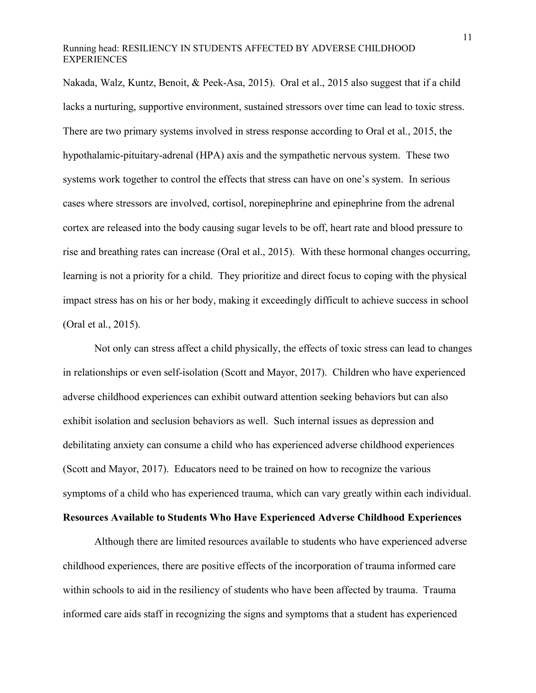Nakada, Walz, Kuntz, Benoit, & Peek-Asa, 2015). Oral et al., 2015 also suggest that if a child lacks a nurturing, supportive environment, sustained stressors over time can lead to toxic stress. There are two primary systems involved in stress response according to Oral et al., 2015, the hypothalamic-pituitary-adrenal (HPA) axis and the sympathetic nervous system. These two systems work together to control the effects that stress can have on one's system. In serious cases where stressors are involved, cortisol, norepinephrine and epinephrine from the adrenal cortex are released into the body causing sugar levels to be off, heart rate and blood pressure to rise and breathing rates can increase (Oral et al., 2015). With these hormonal changes occurring, learning is not a priority for a child. They prioritize and direct focus to coping with the physical impact stress has on his or her body, making it exceedingly difficult to achieve success in school (Oral et al., 2015).

Not only can stress affect a child physically, the effects of toxic stress can lead to changes in relationships or even self-isolation (Scott and Mayor, 2017). Children who have experienced adverse childhood experiences can exhibit outward attention seeking behaviors but can also exhibit isolation and seclusion behaviors as well. Such internal issues as depression and debilitating anxiety can consume a child who has experienced adverse childhood experiences (Scott and Mayor, 2017). Educators need to be trained on how to recognize the various symptoms of a child who has experienced trauma, which can vary greatly within each individual.

# **Resources Available to Students Who Have Experienced Adverse Childhood Experiences**

Although there are limited resources available to students who have experienced adverse childhood experiences, there are positive effects of the incorporation of trauma informed care within schools to aid in the resiliency of students who have been affected by trauma. Trauma informed care aids staff in recognizing the signs and symptoms that a student has experienced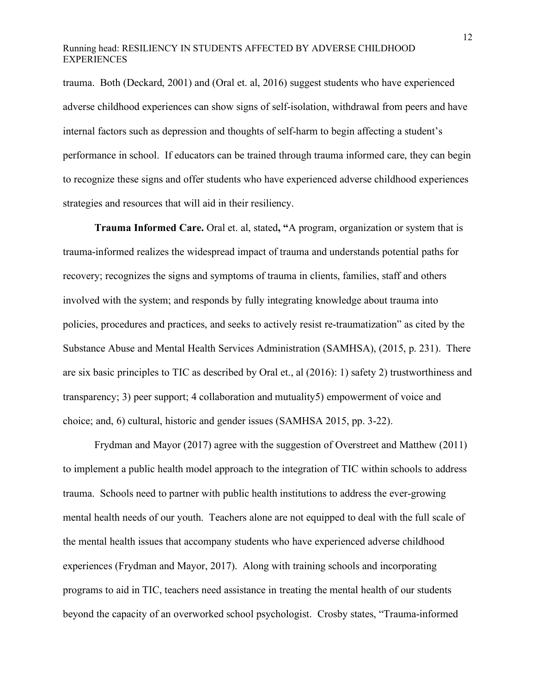trauma. Both (Deckard, 2001) and (Oral et. al, 2016) suggest students who have experienced adverse childhood experiences can show signs of self-isolation, withdrawal from peers and have internal factors such as depression and thoughts of self-harm to begin affecting a student's performance in school. If educators can be trained through trauma informed care, they can begin to recognize these signs and offer students who have experienced adverse childhood experiences strategies and resources that will aid in their resiliency.

**Trauma Informed Care.** Oral et. al, stated**, "**A program, organization or system that is trauma-informed realizes the widespread impact of trauma and understands potential paths for recovery; recognizes the signs and symptoms of trauma in clients, families, staff and others involved with the system; and responds by fully integrating knowledge about trauma into policies, procedures and practices, and seeks to actively resist re-traumatization" as cited by the Substance Abuse and Mental Health Services Administration (SAMHSA), (2015, p. 231). There are six basic principles to TIC as described by Oral et., al (2016): 1) safety 2) trustworthiness and transparency; 3) peer support; 4 collaboration and mutuality5) empowerment of voice and choice; and, 6) cultural, historic and gender issues (SAMHSA 2015, pp. 3-22).

Frydman and Mayor (2017) agree with the suggestion of Overstreet and Matthew (2011) to implement a public health model approach to the integration of TIC within schools to address trauma. Schools need to partner with public health institutions to address the ever-growing mental health needs of our youth. Teachers alone are not equipped to deal with the full scale of the mental health issues that accompany students who have experienced adverse childhood experiences (Frydman and Mayor, 2017). Along with training schools and incorporating programs to aid in TIC, teachers need assistance in treating the mental health of our students beyond the capacity of an overworked school psychologist. Crosby states, "Trauma-informed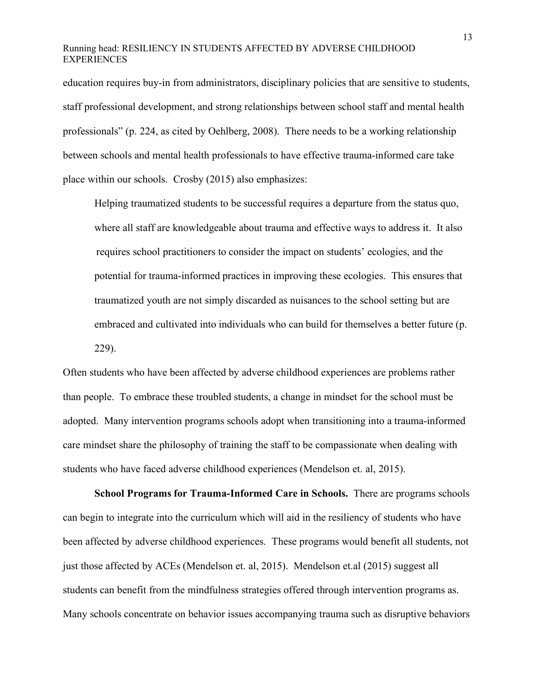education requires buy-in from administrators, disciplinary policies that are sensitive to students, staff professional development, and strong relationships between school staff and mental health professionals" (p. 224, as cited by Oehlberg, 2008). There needs to be a working relationship between schools and mental health professionals to have effective trauma-informed care take place within our schools. Crosby (2015) also emphasizes:

Helping traumatized students to be successful requires a departure from the status quo, where all staff are knowledgeable about trauma and effective ways to address it. It also requires school practitioners to consider the impact on students' ecologies, and the potential for trauma-informed practices in improving these ecologies. This ensures that traumatized youth are not simply discarded as nuisances to the school setting but are embraced and cultivated into individuals who can build for themselves a better future (p. 229).

Often students who have been affected by adverse childhood experiences are problems rather than people. To embrace these troubled students, a change in mindset for the school must be adopted. Many intervention programs schools adopt when transitioning into a trauma-informed care mindset share the philosophy of training the staff to be compassionate when dealing with students who have faced adverse childhood experiences (Mendelson et. al, 2015).

**School Programs for Trauma-Informed Care in Schools.** There are programs schools can begin to integrate into the curriculum which will aid in the resiliency of students who have been affected by adverse childhood experiences. These programs would benefit all students, not just those affected by ACEs (Mendelson et. al, 2015). Mendelson et.al (2015) suggest all students can benefit from the mindfulness strategies offered through intervention programs as. Many schools concentrate on behavior issues accompanying trauma such as disruptive behaviors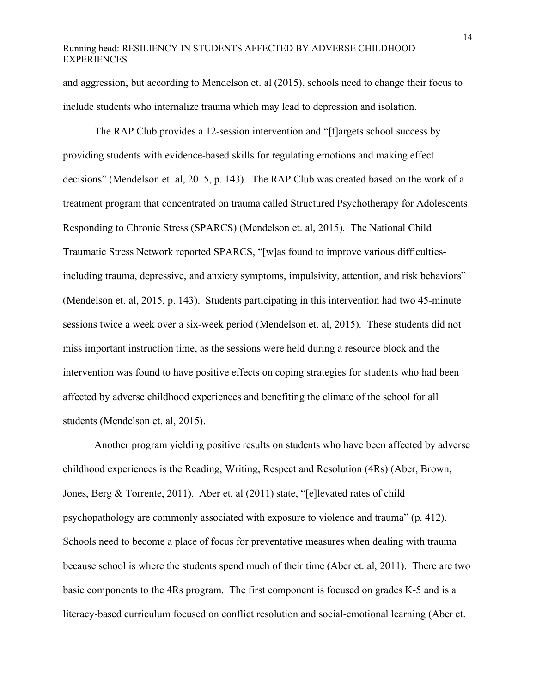and aggression, but according to Mendelson et. al (2015), schools need to change their focus to include students who internalize trauma which may lead to depression and isolation.

The RAP Club provides a 12-session intervention and "[t]argets school success by providing students with evidence-based skills for regulating emotions and making effect decisions" (Mendelson et. al, 2015, p. 143). The RAP Club was created based on the work of a treatment program that concentrated on trauma called Structured Psychotherapy for Adolescents Responding to Chronic Stress (SPARCS) (Mendelson et. al, 2015). The National Child Traumatic Stress Network reported SPARCS, "[w]as found to improve various difficultiesincluding trauma, depressive, and anxiety symptoms, impulsivity, attention, and risk behaviors" (Mendelson et. al, 2015, p. 143). Students participating in this intervention had two 45-minute sessions twice a week over a six-week period (Mendelson et. al, 2015). These students did not miss important instruction time, as the sessions were held during a resource block and the intervention was found to have positive effects on coping strategies for students who had been affected by adverse childhood experiences and benefiting the climate of the school for all students (Mendelson et. al, 2015).

Another program yielding positive results on students who have been affected by adverse childhood experiences is the Reading, Writing, Respect and Resolution (4Rs) (Aber, Brown, Jones, Berg & Torrente, 2011). Aber et. al (2011) state, "[e]levated rates of child psychopathology are commonly associated with exposure to violence and trauma" (p. 412). Schools need to become a place of focus for preventative measures when dealing with trauma because school is where the students spend much of their time (Aber et. al, 2011). There are two basic components to the 4Rs program. The first component is focused on grades K-5 and is a literacy-based curriculum focused on conflict resolution and social-emotional learning (Aber et.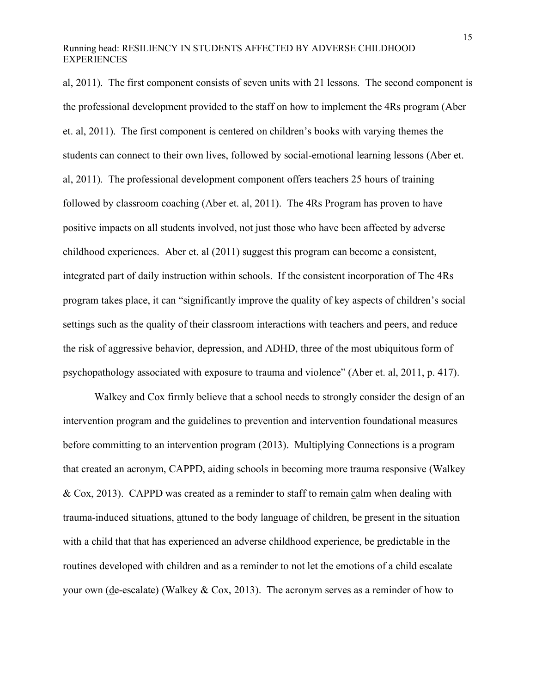al, 2011). The first component consists of seven units with 21 lessons. The second component is the professional development provided to the staff on how to implement the 4Rs program (Aber et. al, 2011). The first component is centered on children's books with varying themes the students can connect to their own lives, followed by social-emotional learning lessons (Aber et. al, 2011). The professional development component offers teachers 25 hours of training followed by classroom coaching (Aber et. al, 2011). The 4Rs Program has proven to have positive impacts on all students involved, not just those who have been affected by adverse childhood experiences. Aber et. al (2011) suggest this program can become a consistent, integrated part of daily instruction within schools. If the consistent incorporation of The 4Rs program takes place, it can "significantly improve the quality of key aspects of children's social settings such as the quality of their classroom interactions with teachers and peers, and reduce the risk of aggressive behavior, depression, and ADHD, three of the most ubiquitous form of psychopathology associated with exposure to trauma and violence" (Aber et. al, 2011, p. 417).

Walkey and Cox firmly believe that a school needs to strongly consider the design of an intervention program and the guidelines to prevention and intervention foundational measures before committing to an intervention program (2013). Multiplying Connections is a program that created an acronym, CAPPD, aiding schools in becoming more trauma responsive (Walkey & Cox, 2013). CAPPD was created as a reminder to staff to remain calm when dealing with trauma-induced situations, attuned to the body language of children, be present in the situation with a child that that has experienced an adverse childhood experience, be predictable in the routines developed with children and as a reminder to not let the emotions of a child escalate your own ( $de$ -escalate) (Walkey & Cox, 2013). The acronym serves as a reminder of how to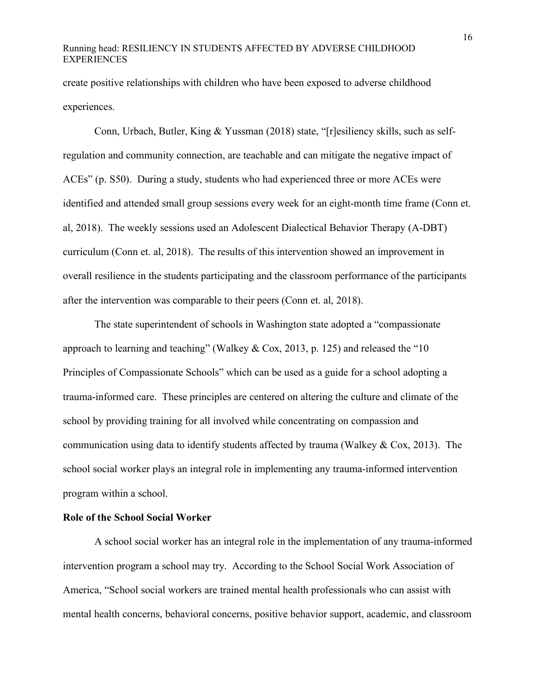create positive relationships with children who have been exposed to adverse childhood experiences.

Conn, Urbach, Butler, King & Yussman (2018) state, "[r]esiliency skills, such as selfregulation and community connection, are teachable and can mitigate the negative impact of ACEs" (p. S50). During a study, students who had experienced three or more ACEs were identified and attended small group sessions every week for an eight-month time frame (Conn et. al, 2018). The weekly sessions used an Adolescent Dialectical Behavior Therapy (A-DBT) curriculum (Conn et. al, 2018). The results of this intervention showed an improvement in overall resilience in the students participating and the classroom performance of the participants after the intervention was comparable to their peers (Conn et. al, 2018).

The state superintendent of schools in Washington state adopted a "compassionate approach to learning and teaching" (Walkey & Cox, 2013, p. 125) and released the "10 Principles of Compassionate Schools" which can be used as a guide for a school adopting a trauma-informed care. These principles are centered on altering the culture and climate of the school by providing training for all involved while concentrating on compassion and communication using data to identify students affected by trauma (Walkey & Cox, 2013). The school social worker plays an integral role in implementing any trauma-informed intervention program within a school.

# **Role of the School Social Worker**

A school social worker has an integral role in the implementation of any trauma-informed intervention program a school may try. According to the School Social Work Association of America, "School social workers are trained mental health professionals who can assist with mental health concerns, behavioral concerns, positive behavior support, academic, and classroom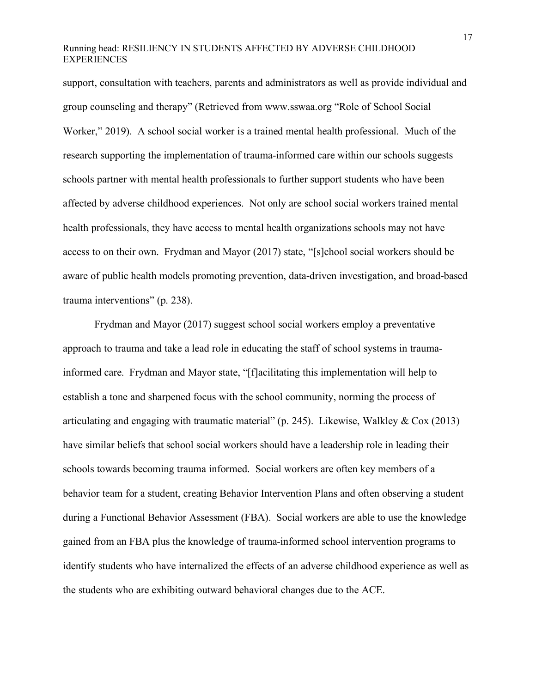support, consultation with teachers, parents and administrators as well as provide individual and group counseling and therapy" (Retrieved from www.sswaa.org "Role of School Social Worker," 2019). A school social worker is a trained mental health professional. Much of the research supporting the implementation of trauma-informed care within our schools suggests schools partner with mental health professionals to further support students who have been affected by adverse childhood experiences. Not only are school social workers trained mental health professionals, they have access to mental health organizations schools may not have access to on their own. Frydman and Mayor (2017) state, "[s]chool social workers should be aware of public health models promoting prevention, data-driven investigation, and broad-based trauma interventions" (p. 238).

Frydman and Mayor (2017) suggest school social workers employ a preventative approach to trauma and take a lead role in educating the staff of school systems in traumainformed care. Frydman and Mayor state, "[f]acilitating this implementation will help to establish a tone and sharpened focus with the school community, norming the process of articulating and engaging with traumatic material" (p. 245). Likewise, Walkley & Cox (2013) have similar beliefs that school social workers should have a leadership role in leading their schools towards becoming trauma informed. Social workers are often key members of a behavior team for a student, creating Behavior Intervention Plans and often observing a student during a Functional Behavior Assessment (FBA). Social workers are able to use the knowledge gained from an FBA plus the knowledge of trauma-informed school intervention programs to identify students who have internalized the effects of an adverse childhood experience as well as the students who are exhibiting outward behavioral changes due to the ACE.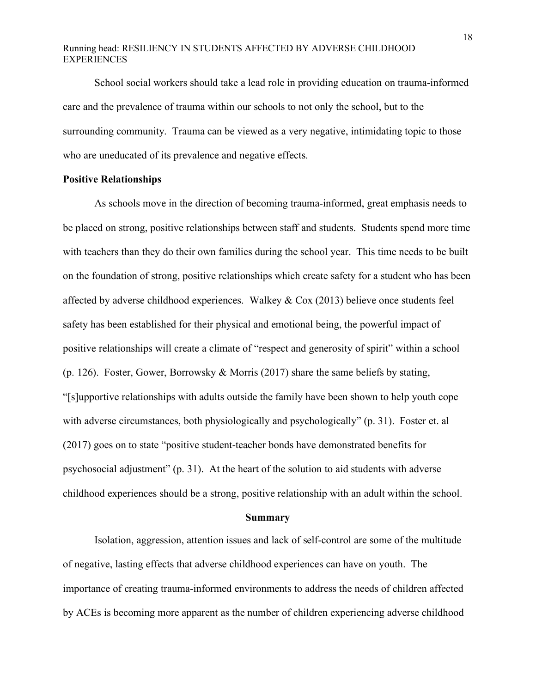School social workers should take a lead role in providing education on trauma-informed care and the prevalence of trauma within our schools to not only the school, but to the surrounding community. Trauma can be viewed as a very negative, intimidating topic to those who are uneducated of its prevalence and negative effects.

#### **Positive Relationships**

As schools move in the direction of becoming trauma-informed, great emphasis needs to be placed on strong, positive relationships between staff and students. Students spend more time with teachers than they do their own families during the school year. This time needs to be built on the foundation of strong, positive relationships which create safety for a student who has been affected by adverse childhood experiences. Walkey & Cox (2013) believe once students feel safety has been established for their physical and emotional being, the powerful impact of positive relationships will create a climate of "respect and generosity of spirit" within a school (p. 126). Foster, Gower, Borrowsky & Morris (2017) share the same beliefs by stating, "[s]upportive relationships with adults outside the family have been shown to help youth cope with adverse circumstances, both physiologically and psychologically" (p. 31). Foster et. al (2017) goes on to state "positive student-teacher bonds have demonstrated benefits for psychosocial adjustment" (p. 31). At the heart of the solution to aid students with adverse childhood experiences should be a strong, positive relationship with an adult within the school.

#### **Summary**

Isolation, aggression, attention issues and lack of self-control are some of the multitude of negative, lasting effects that adverse childhood experiences can have on youth. The importance of creating trauma-informed environments to address the needs of children affected by ACEs is becoming more apparent as the number of children experiencing adverse childhood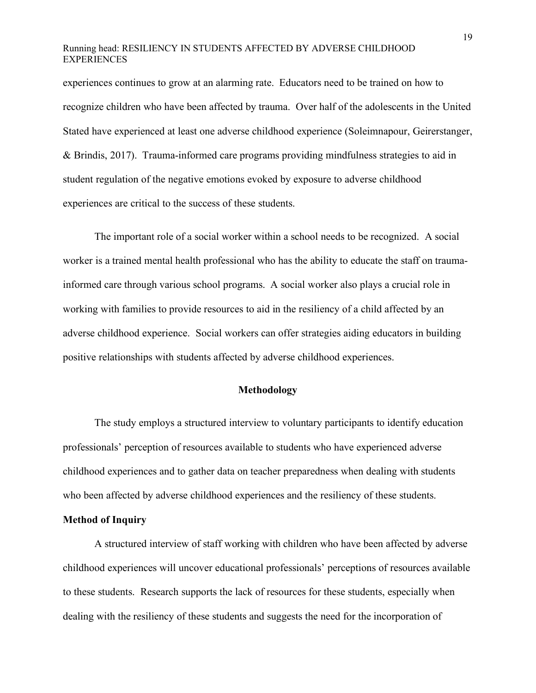experiences continues to grow at an alarming rate. Educators need to be trained on how to recognize children who have been affected by trauma. Over half of the adolescents in the United Stated have experienced at least one adverse childhood experience (Soleimnapour, Geirerstanger, & Brindis, 2017). Trauma-informed care programs providing mindfulness strategies to aid in student regulation of the negative emotions evoked by exposure to adverse childhood experiences are critical to the success of these students.

The important role of a social worker within a school needs to be recognized. A social worker is a trained mental health professional who has the ability to educate the staff on traumainformed care through various school programs. A social worker also plays a crucial role in working with families to provide resources to aid in the resiliency of a child affected by an adverse childhood experience. Social workers can offer strategies aiding educators in building positive relationships with students affected by adverse childhood experiences.

#### **Methodology**

The study employs a structured interview to voluntary participants to identify education professionals' perception of resources available to students who have experienced adverse childhood experiences and to gather data on teacher preparedness when dealing with students who been affected by adverse childhood experiences and the resiliency of these students.

# **Method of Inquiry**

A structured interview of staff working with children who have been affected by adverse childhood experiences will uncover educational professionals' perceptions of resources available to these students. Research supports the lack of resources for these students, especially when dealing with the resiliency of these students and suggests the need for the incorporation of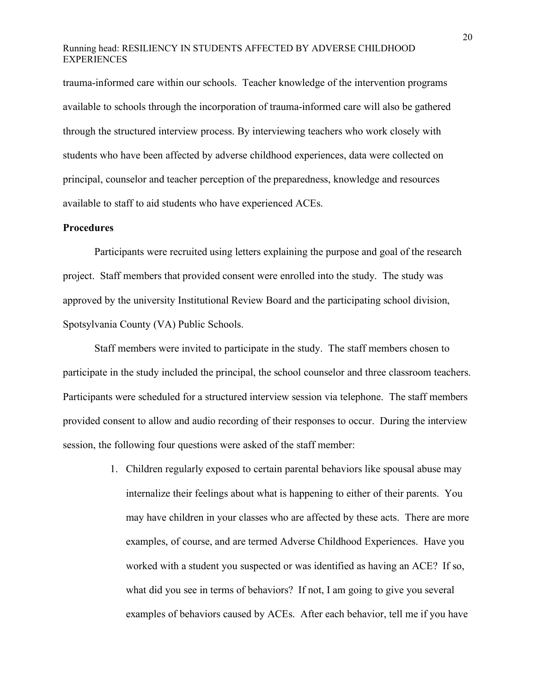trauma-informed care within our schools. Teacher knowledge of the intervention programs available to schools through the incorporation of trauma-informed care will also be gathered through the structured interview process. By interviewing teachers who work closely with students who have been affected by adverse childhood experiences, data were collected on principal, counselor and teacher perception of the preparedness, knowledge and resources available to staff to aid students who have experienced ACEs.

#### **Procedures**

Participants were recruited using letters explaining the purpose and goal of the research project. Staff members that provided consent were enrolled into the study. The study was approved by the university Institutional Review Board and the participating school division, Spotsylvania County (VA) Public Schools.

Staff members were invited to participate in the study. The staff members chosen to participate in the study included the principal, the school counselor and three classroom teachers. Participants were scheduled for a structured interview session via telephone. The staff members provided consent to allow and audio recording of their responses to occur. During the interview session, the following four questions were asked of the staff member:

> 1. Children regularly exposed to certain parental behaviors like spousal abuse may internalize their feelings about what is happening to either of their parents. You may have children in your classes who are affected by these acts. There are more examples, of course, and are termed Adverse Childhood Experiences. Have you worked with a student you suspected or was identified as having an ACE? If so, what did you see in terms of behaviors? If not, I am going to give you several examples of behaviors caused by ACEs. After each behavior, tell me if you have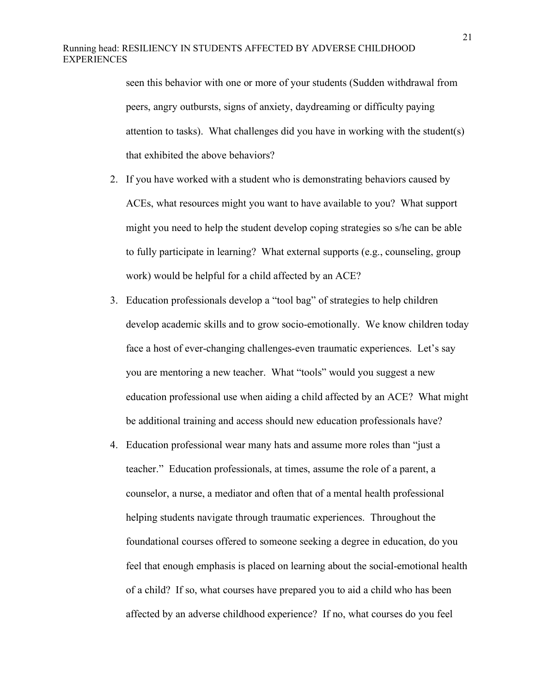seen this behavior with one or more of your students (Sudden withdrawal from peers, angry outbursts, signs of anxiety, daydreaming or difficulty paying attention to tasks). What challenges did you have in working with the student(s) that exhibited the above behaviors?

- 2. If you have worked with a student who is demonstrating behaviors caused by ACEs, what resources might you want to have available to you? What support might you need to help the student develop coping strategies so s/he can be able to fully participate in learning? What external supports (e.g., counseling, group work) would be helpful for a child affected by an ACE?
- 3. Education professionals develop a "tool bag" of strategies to help children develop academic skills and to grow socio-emotionally. We know children today face a host of ever-changing challenges-even traumatic experiences. Let's say you are mentoring a new teacher. What "tools" would you suggest a new education professional use when aiding a child affected by an ACE? What might be additional training and access should new education professionals have?
- 4. Education professional wear many hats and assume more roles than "just a teacher." Education professionals, at times, assume the role of a parent, a counselor, a nurse, a mediator and often that of a mental health professional helping students navigate through traumatic experiences. Throughout the foundational courses offered to someone seeking a degree in education, do you feel that enough emphasis is placed on learning about the social-emotional health of a child? If so, what courses have prepared you to aid a child who has been affected by an adverse childhood experience? If no, what courses do you feel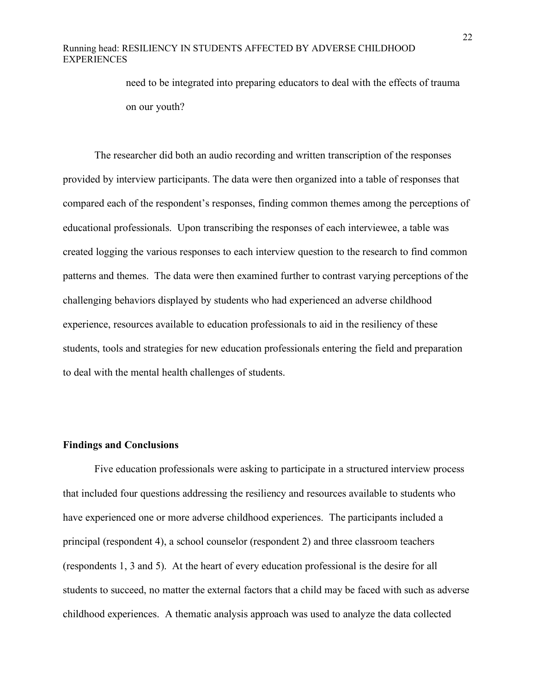need to be integrated into preparing educators to deal with the effects of trauma on our youth?

The researcher did both an audio recording and written transcription of the responses provided by interview participants. The data were then organized into a table of responses that compared each of the respondent's responses, finding common themes among the perceptions of educational professionals. Upon transcribing the responses of each interviewee, a table was created logging the various responses to each interview question to the research to find common patterns and themes. The data were then examined further to contrast varying perceptions of the challenging behaviors displayed by students who had experienced an adverse childhood experience, resources available to education professionals to aid in the resiliency of these students, tools and strategies for new education professionals entering the field and preparation to deal with the mental health challenges of students.

#### **Findings and Conclusions**

Five education professionals were asking to participate in a structured interview process that included four questions addressing the resiliency and resources available to students who have experienced one or more adverse childhood experiences. The participants included a principal (respondent 4), a school counselor (respondent 2) and three classroom teachers (respondents 1, 3 and 5). At the heart of every education professional is the desire for all students to succeed, no matter the external factors that a child may be faced with such as adverse childhood experiences. A thematic analysis approach was used to analyze the data collected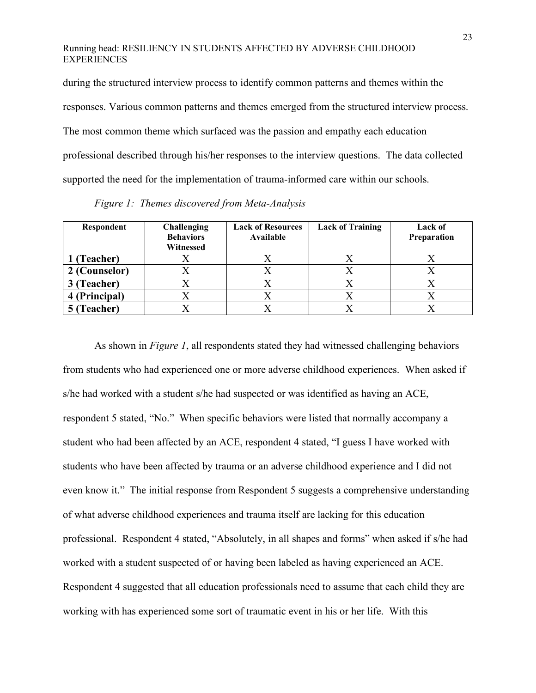during the structured interview process to identify common patterns and themes within the responses. Various common patterns and themes emerged from the structured interview process. The most common theme which surfaced was the passion and empathy each education professional described through his/her responses to the interview questions. The data collected supported the need for the implementation of trauma-informed care within our schools.

| Respondent    | <b>Challenging</b><br><b>Behaviors</b><br>Witnessed | <b>Lack of Resources</b><br>Available | <b>Lack of Training</b> | Lack of<br>Preparation |
|---------------|-----------------------------------------------------|---------------------------------------|-------------------------|------------------------|
| 1 (Teacher)   |                                                     |                                       |                         |                        |
| 2 (Counselor) | $\Lambda$                                           |                                       | Λ                       |                        |
| 3 (Teacher)   |                                                     |                                       | △                       |                        |
| 4 (Principal) |                                                     |                                       |                         |                        |
| 5 (Teacher)   |                                                     |                                       |                         |                        |

*Figure 1: Themes discovered from Meta-Analysis* 

As shown in *Figure 1*, all respondents stated they had witnessed challenging behaviors from students who had experienced one or more adverse childhood experiences. When asked if s/he had worked with a student s/he had suspected or was identified as having an ACE, respondent 5 stated, "No." When specific behaviors were listed that normally accompany a student who had been affected by an ACE, respondent 4 stated, "I guess I have worked with students who have been affected by trauma or an adverse childhood experience and I did not even know it." The initial response from Respondent 5 suggests a comprehensive understanding of what adverse childhood experiences and trauma itself are lacking for this education professional. Respondent 4 stated, "Absolutely, in all shapes and forms" when asked if s/he had worked with a student suspected of or having been labeled as having experienced an ACE. Respondent 4 suggested that all education professionals need to assume that each child they are working with has experienced some sort of traumatic event in his or her life. With this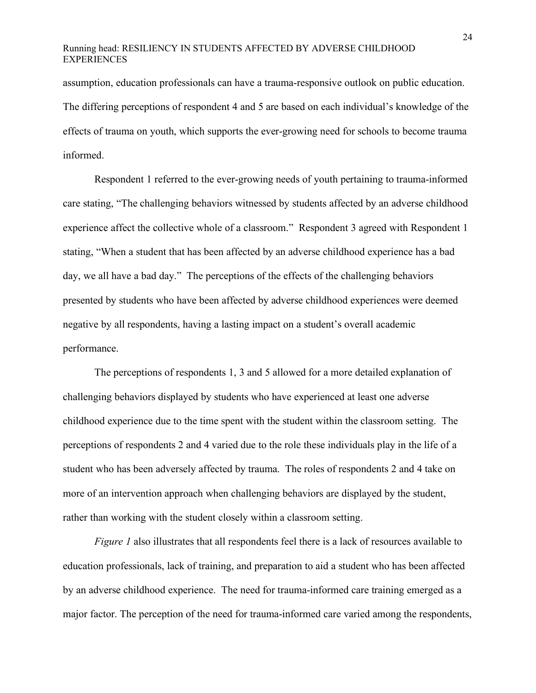assumption, education professionals can have a trauma-responsive outlook on public education. The differing perceptions of respondent 4 and 5 are based on each individual's knowledge of the effects of trauma on youth, which supports the ever-growing need for schools to become trauma informed.

Respondent 1 referred to the ever-growing needs of youth pertaining to trauma-informed care stating, "The challenging behaviors witnessed by students affected by an adverse childhood experience affect the collective whole of a classroom." Respondent 3 agreed with Respondent 1 stating, "When a student that has been affected by an adverse childhood experience has a bad day, we all have a bad day." The perceptions of the effects of the challenging behaviors presented by students who have been affected by adverse childhood experiences were deemed negative by all respondents, having a lasting impact on a student's overall academic performance.

The perceptions of respondents 1, 3 and 5 allowed for a more detailed explanation of challenging behaviors displayed by students who have experienced at least one adverse childhood experience due to the time spent with the student within the classroom setting. The perceptions of respondents 2 and 4 varied due to the role these individuals play in the life of a student who has been adversely affected by trauma. The roles of respondents 2 and 4 take on more of an intervention approach when challenging behaviors are displayed by the student, rather than working with the student closely within a classroom setting.

*Figure 1* also illustrates that all respondents feel there is a lack of resources available to education professionals, lack of training, and preparation to aid a student who has been affected by an adverse childhood experience. The need for trauma-informed care training emerged as a major factor. The perception of the need for trauma-informed care varied among the respondents,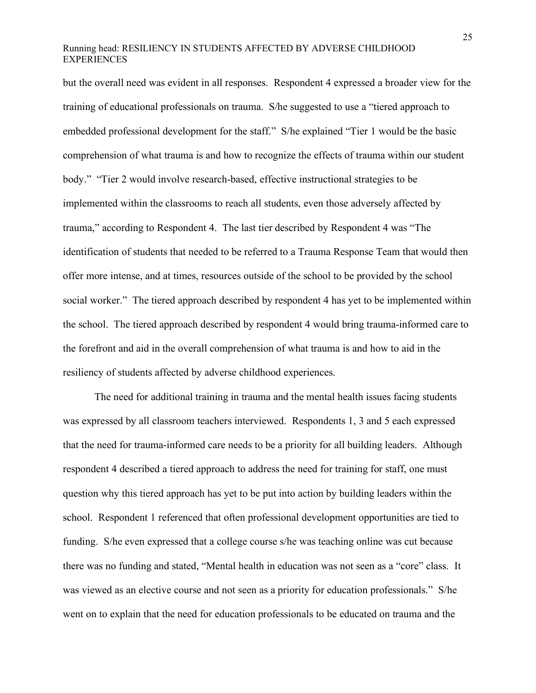but the overall need was evident in all responses. Respondent 4 expressed a broader view for the training of educational professionals on trauma. S/he suggested to use a "tiered approach to embedded professional development for the staff." S/he explained "Tier 1 would be the basic comprehension of what trauma is and how to recognize the effects of trauma within our student body." "Tier 2 would involve research-based, effective instructional strategies to be implemented within the classrooms to reach all students, even those adversely affected by trauma," according to Respondent 4. The last tier described by Respondent 4 was "The identification of students that needed to be referred to a Trauma Response Team that would then offer more intense, and at times, resources outside of the school to be provided by the school social worker." The tiered approach described by respondent 4 has yet to be implemented within the school. The tiered approach described by respondent 4 would bring trauma-informed care to the forefront and aid in the overall comprehension of what trauma is and how to aid in the resiliency of students affected by adverse childhood experiences.

The need for additional training in trauma and the mental health issues facing students was expressed by all classroom teachers interviewed. Respondents 1, 3 and 5 each expressed that the need for trauma-informed care needs to be a priority for all building leaders. Although respondent 4 described a tiered approach to address the need for training for staff, one must question why this tiered approach has yet to be put into action by building leaders within the school. Respondent 1 referenced that often professional development opportunities are tied to funding. S/he even expressed that a college course s/he was teaching online was cut because there was no funding and stated, "Mental health in education was not seen as a "core" class. It was viewed as an elective course and not seen as a priority for education professionals." S/he went on to explain that the need for education professionals to be educated on trauma and the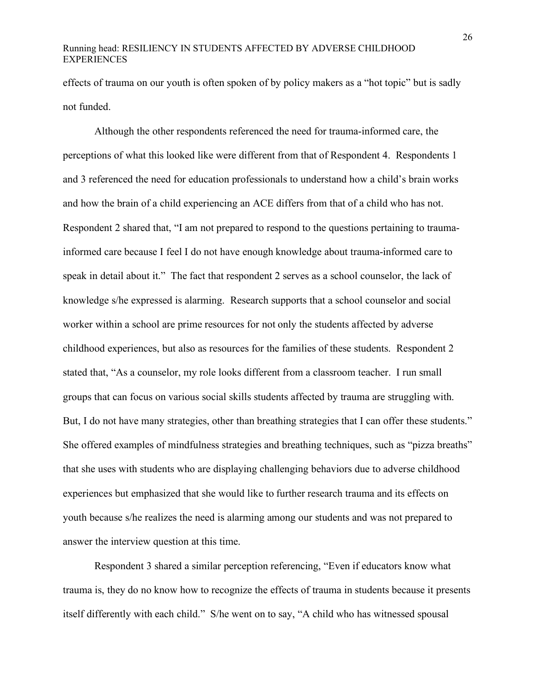effects of trauma on our youth is often spoken of by policy makers as a "hot topic" but is sadly not funded.

Although the other respondents referenced the need for trauma-informed care, the perceptions of what this looked like were different from that of Respondent 4. Respondents 1 and 3 referenced the need for education professionals to understand how a child's brain works and how the brain of a child experiencing an ACE differs from that of a child who has not. Respondent 2 shared that, "I am not prepared to respond to the questions pertaining to traumainformed care because I feel I do not have enough knowledge about trauma-informed care to speak in detail about it." The fact that respondent 2 serves as a school counselor, the lack of knowledge s/he expressed is alarming. Research supports that a school counselor and social worker within a school are prime resources for not only the students affected by adverse childhood experiences, but also as resources for the families of these students. Respondent 2 stated that, "As a counselor, my role looks different from a classroom teacher. I run small groups that can focus on various social skills students affected by trauma are struggling with. But, I do not have many strategies, other than breathing strategies that I can offer these students." She offered examples of mindfulness strategies and breathing techniques, such as "pizza breaths" that she uses with students who are displaying challenging behaviors due to adverse childhood experiences but emphasized that she would like to further research trauma and its effects on youth because s/he realizes the need is alarming among our students and was not prepared to answer the interview question at this time.

Respondent 3 shared a similar perception referencing, "Even if educators know what trauma is, they do no know how to recognize the effects of trauma in students because it presents itself differently with each child." S/he went on to say, "A child who has witnessed spousal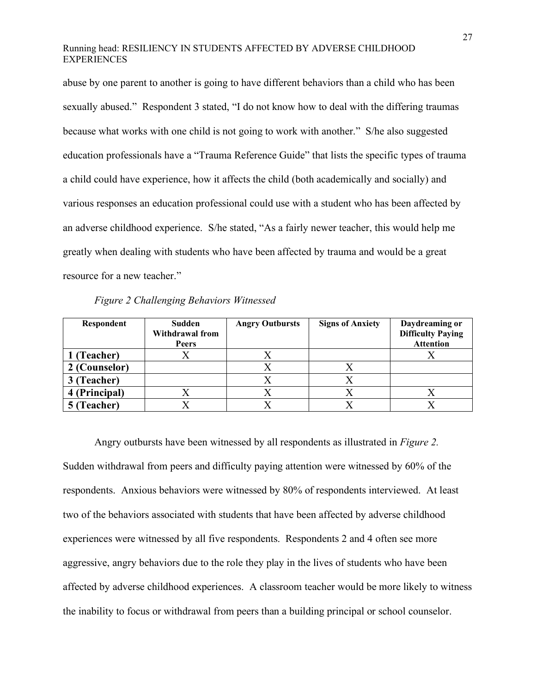abuse by one parent to another is going to have different behaviors than a child who has been sexually abused." Respondent 3 stated, "I do not know how to deal with the differing traumas because what works with one child is not going to work with another." S/he also suggested education professionals have a "Trauma Reference Guide" that lists the specific types of trauma a child could have experience, how it affects the child (both academically and socially) and various responses an education professional could use with a student who has been affected by an adverse childhood experience. S/he stated, "As a fairly newer teacher, this would help me greatly when dealing with students who have been affected by trauma and would be a great resource for a new teacher."

| Figure 2 Challenging Behaviors Witnessed |  |  |  |
|------------------------------------------|--|--|--|
|------------------------------------------|--|--|--|

| Respondent    | Sudden                 | <b>Angry Outbursts</b> | <b>Signs of Anxiety</b> | Daydreaming or           |
|---------------|------------------------|------------------------|-------------------------|--------------------------|
|               | <b>Withdrawal from</b> |                        |                         | <b>Difficulty Paying</b> |
|               | Peers                  |                        |                         | <b>Attention</b>         |
| 1 (Teacher)   |                        |                        |                         |                          |
| 2 (Counselor) |                        |                        |                         |                          |
| 3 (Teacher)   |                        |                        |                         |                          |
| 4 (Principal) |                        |                        |                         |                          |
| 5 (Teacher)   |                        |                        |                         |                          |

Angry outbursts have been witnessed by all respondents as illustrated in *Figure 2.*  Sudden withdrawal from peers and difficulty paying attention were witnessed by 60% of the respondents. Anxious behaviors were witnessed by 80% of respondents interviewed. At least two of the behaviors associated with students that have been affected by adverse childhood experiences were witnessed by all five respondents. Respondents 2 and 4 often see more aggressive, angry behaviors due to the role they play in the lives of students who have been affected by adverse childhood experiences. A classroom teacher would be more likely to witness the inability to focus or withdrawal from peers than a building principal or school counselor.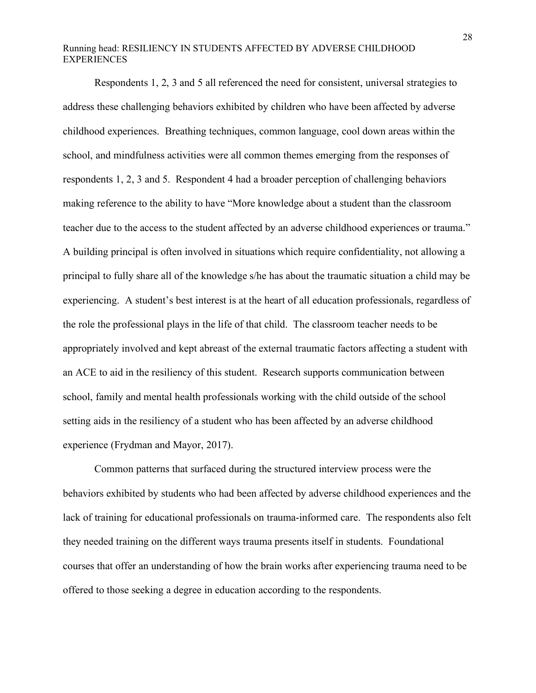Respondents 1, 2, 3 and 5 all referenced the need for consistent, universal strategies to address these challenging behaviors exhibited by children who have been affected by adverse childhood experiences. Breathing techniques, common language, cool down areas within the school, and mindfulness activities were all common themes emerging from the responses of respondents 1, 2, 3 and 5. Respondent 4 had a broader perception of challenging behaviors making reference to the ability to have "More knowledge about a student than the classroom teacher due to the access to the student affected by an adverse childhood experiences or trauma." A building principal is often involved in situations which require confidentiality, not allowing a principal to fully share all of the knowledge s/he has about the traumatic situation a child may be experiencing. A student's best interest is at the heart of all education professionals, regardless of the role the professional plays in the life of that child. The classroom teacher needs to be appropriately involved and kept abreast of the external traumatic factors affecting a student with an ACE to aid in the resiliency of this student. Research supports communication between school, family and mental health professionals working with the child outside of the school setting aids in the resiliency of a student who has been affected by an adverse childhood experience (Frydman and Mayor, 2017).

Common patterns that surfaced during the structured interview process were the behaviors exhibited by students who had been affected by adverse childhood experiences and the lack of training for educational professionals on trauma-informed care. The respondents also felt they needed training on the different ways trauma presents itself in students. Foundational courses that offer an understanding of how the brain works after experiencing trauma need to be offered to those seeking a degree in education according to the respondents.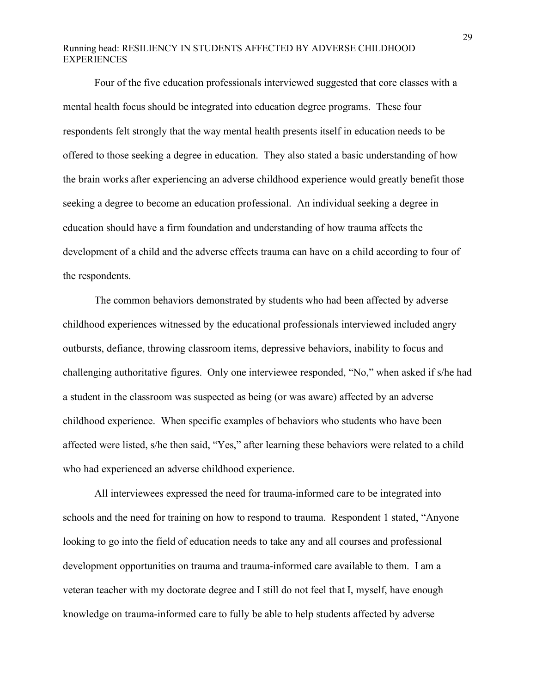Four of the five education professionals interviewed suggested that core classes with a mental health focus should be integrated into education degree programs. These four respondents felt strongly that the way mental health presents itself in education needs to be offered to those seeking a degree in education. They also stated a basic understanding of how the brain works after experiencing an adverse childhood experience would greatly benefit those seeking a degree to become an education professional. An individual seeking a degree in education should have a firm foundation and understanding of how trauma affects the development of a child and the adverse effects trauma can have on a child according to four of the respondents.

The common behaviors demonstrated by students who had been affected by adverse childhood experiences witnessed by the educational professionals interviewed included angry outbursts, defiance, throwing classroom items, depressive behaviors, inability to focus and challenging authoritative figures. Only one interviewee responded, "No," when asked if s/he had a student in the classroom was suspected as being (or was aware) affected by an adverse childhood experience. When specific examples of behaviors who students who have been affected were listed, s/he then said, "Yes," after learning these behaviors were related to a child who had experienced an adverse childhood experience.

All interviewees expressed the need for trauma-informed care to be integrated into schools and the need for training on how to respond to trauma. Respondent 1 stated, "Anyone looking to go into the field of education needs to take any and all courses and professional development opportunities on trauma and trauma-informed care available to them. I am a veteran teacher with my doctorate degree and I still do not feel that I, myself, have enough knowledge on trauma-informed care to fully be able to help students affected by adverse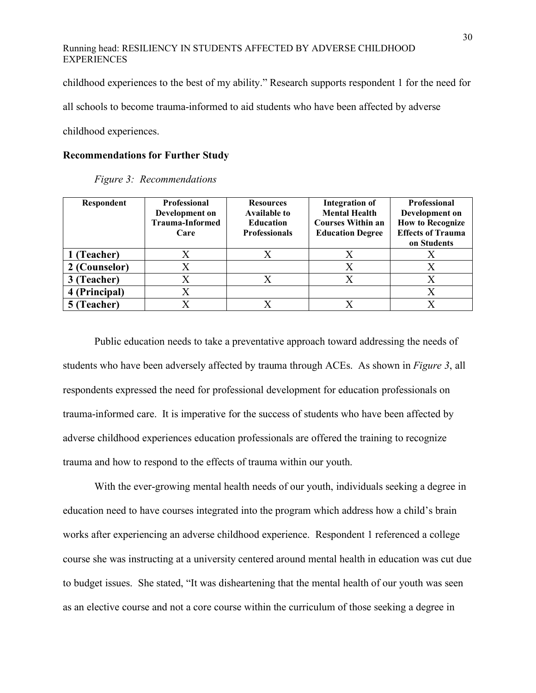childhood experiences to the best of my ability." Research supports respondent 1 for the need for

all schools to become trauma-informed to aid students who have been affected by adverse

childhood experiences.

#### **Recommendations for Further Study**

| Respondent    | <b>Professional</b><br>Development on<br><b>Trauma-Informed</b><br>Care | <b>Resources</b><br><b>Available to</b><br><b>Education</b><br><b>Professionals</b> | <b>Integration of</b><br><b>Mental Health</b><br><b>Courses Within an</b><br><b>Education Degree</b> | <b>Professional</b><br>Development on<br><b>How to Recognize</b><br><b>Effects of Trauma</b><br>on Students |
|---------------|-------------------------------------------------------------------------|-------------------------------------------------------------------------------------|------------------------------------------------------------------------------------------------------|-------------------------------------------------------------------------------------------------------------|
| 1 (Teacher)   |                                                                         |                                                                                     |                                                                                                      |                                                                                                             |
| 2 (Counselor) | X                                                                       |                                                                                     | Х                                                                                                    |                                                                                                             |
| 3 (Teacher)   | X                                                                       |                                                                                     | X                                                                                                    |                                                                                                             |
| 4 (Principal) | $\rm\overline{X}$                                                       |                                                                                     |                                                                                                      |                                                                                                             |
| 5 (Teacher)   |                                                                         |                                                                                     |                                                                                                      |                                                                                                             |

*Figure 3: Recommendations* 

Public education needs to take a preventative approach toward addressing the needs of students who have been adversely affected by trauma through ACEs. As shown in *Figure 3*, all respondents expressed the need for professional development for education professionals on trauma-informed care. It is imperative for the success of students who have been affected by adverse childhood experiences education professionals are offered the training to recognize trauma and how to respond to the effects of trauma within our youth.

With the ever-growing mental health needs of our youth, individuals seeking a degree in education need to have courses integrated into the program which address how a child's brain works after experiencing an adverse childhood experience. Respondent 1 referenced a college course she was instructing at a university centered around mental health in education was cut due to budget issues. She stated, "It was disheartening that the mental health of our youth was seen as an elective course and not a core course within the curriculum of those seeking a degree in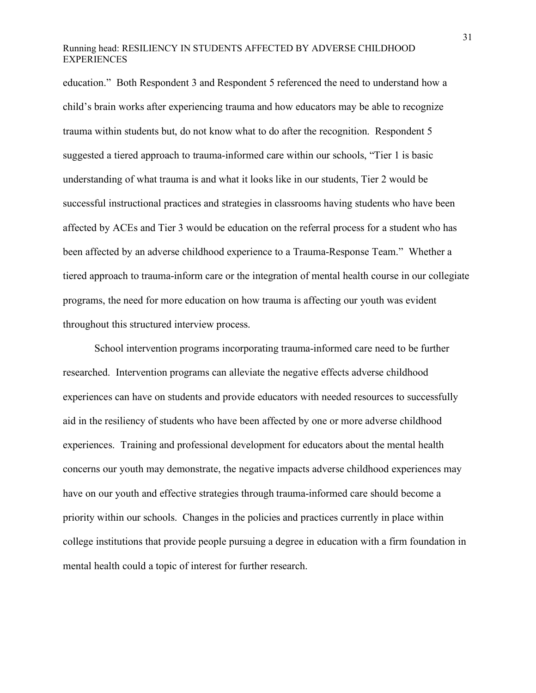education." Both Respondent 3 and Respondent 5 referenced the need to understand how a child's brain works after experiencing trauma and how educators may be able to recognize trauma within students but, do not know what to do after the recognition. Respondent 5 suggested a tiered approach to trauma-informed care within our schools, "Tier 1 is basic understanding of what trauma is and what it looks like in our students, Tier 2 would be successful instructional practices and strategies in classrooms having students who have been affected by ACEs and Tier 3 would be education on the referral process for a student who has been affected by an adverse childhood experience to a Trauma-Response Team." Whether a tiered approach to trauma-inform care or the integration of mental health course in our collegiate programs, the need for more education on how trauma is affecting our youth was evident throughout this structured interview process.

School intervention programs incorporating trauma-informed care need to be further researched. Intervention programs can alleviate the negative effects adverse childhood experiences can have on students and provide educators with needed resources to successfully aid in the resiliency of students who have been affected by one or more adverse childhood experiences. Training and professional development for educators about the mental health concerns our youth may demonstrate, the negative impacts adverse childhood experiences may have on our youth and effective strategies through trauma-informed care should become a priority within our schools. Changes in the policies and practices currently in place within college institutions that provide people pursuing a degree in education with a firm foundation in mental health could a topic of interest for further research.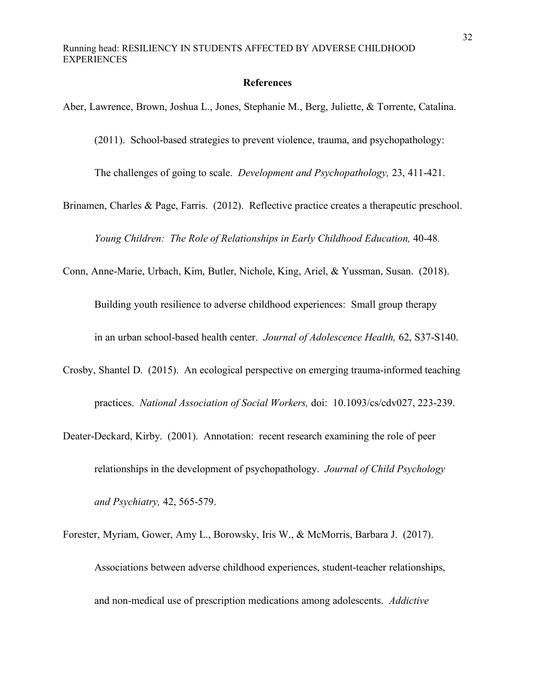#### **References**

Aber, Lawrence, Brown, Joshua L., Jones, Stephanie M., Berg, Juliette, & Torrente, Catalina. (2011). School-based strategies to prevent violence, trauma, and psychopathology: The challenges of going to scale. *Development and Psychopathology,* 23, 411-421. Brinamen, Charles & Page, Farris. (2012). Reflective practice creates a therapeutic preschool. *Young Children: The Role of Relationships in Early Childhood Education,* 40-48*.* Conn, Anne-Marie, Urbach, Kim, Butler, Nichole, King, Ariel, & Yussman, Susan. (2018). Building youth resilience to adverse childhood experiences: Small group therapy in an urban school-based health center. *Journal of Adolescence Health,* 62, S37-S140.

- Crosby, Shantel D. (2015). An ecological perspective on emerging trauma-informed teaching practices. *National Association of Social Workers,* doi: 10.1093/cs/cdv027, 223-239.
- Deater-Deckard, Kirby. (2001). Annotation: recent research examining the role of peer relationships in the development of psychopathology. *Journal of Child Psychology and Psychiatry,* 42, 565-579.
- Forester, Myriam, Gower, Amy L., Borowsky, Iris W., & McMorris, Barbara J. (2017). Associations between adverse childhood experiences, student-teacher relationships, and non-medical use of prescription medications among adolescents. *Addictive*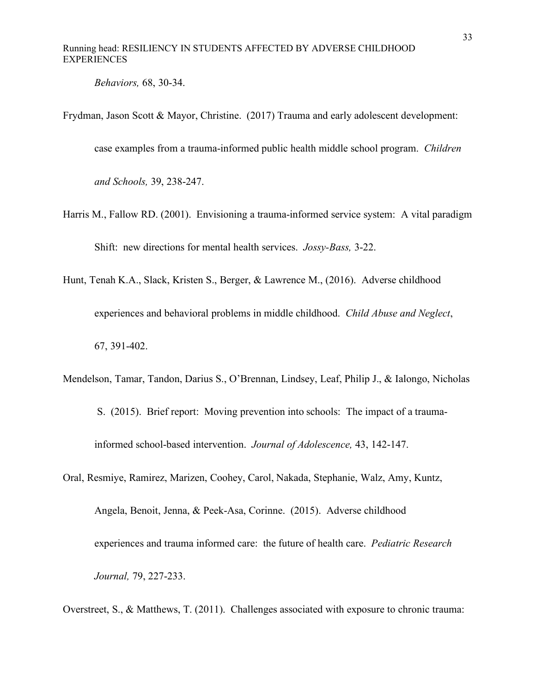*Behaviors,* 68, 30-34.

Frydman, Jason Scott & Mayor, Christine. (2017) Trauma and early adolescent development:

case examples from a trauma-informed public health middle school program. *Children*

*and Schools,* 39, 238-247.

- Harris M., Fallow RD. (2001). Envisioning a trauma-informed service system: A vital paradigm Shift: new directions for mental health services. *Jossy-Bass,* 3-22.
- Hunt, Tenah K.A., Slack, Kristen S., Berger, & Lawrence M., (2016). Adverse childhood experiences and behavioral problems in middle childhood. *Child Abuse and Neglect*, 67, 391-402.
- Mendelson, Tamar, Tandon, Darius S., O'Brennan, Lindsey, Leaf, Philip J., & Ialongo, Nicholas S. (2015). Brief report: Moving prevention into schools: The impact of a traumainformed school-based intervention. *Journal of Adolescence,* 43, 142-147.
- Oral, Resmiye, Ramirez, Marizen, Coohey, Carol, Nakada, Stephanie, Walz, Amy, Kuntz, Angela, Benoit, Jenna, & Peek-Asa, Corinne. (2015). Adverse childhood experiences and trauma informed care: the future of health care. *Pediatric Research Journal,* 79, 227-233.

Overstreet, S., & Matthews, T. (2011). Challenges associated with exposure to chronic trauma: